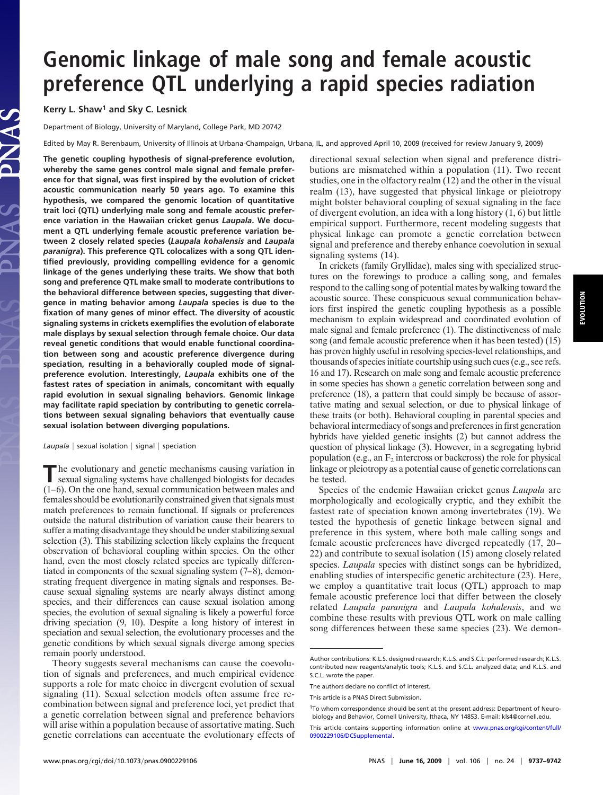# **Genomic linkage of male song and female acoustic preference QTL underlying a rapid species radiation**

**Kerry L. Shaw1 and Sky C. Lesnick**

Department of Biology, University of Maryland, College Park, MD 20742

Edited by May R. Berenbaum, University of Illinois at Urbana-Champaign, Urbana, IL, and approved April 10, 2009 (received for review January 9, 2009)

**The genetic coupling hypothesis of signal-preference evolution, whereby the same genes control male signal and female preference for that signal, was first inspired by the evolution of cricket acoustic communication nearly 50 years ago. To examine this hypothesis, we compared the genomic location of quantitative trait loci (QTL) underlying male song and female acoustic preference variation in the Hawaiian cricket genus** *Laupala***. We document a QTL underlying female acoustic preference variation between 2 closely related species (***Laupala kohalensis* **and** *Laupala paranigra***). This preference QTL colocalizes with a song QTL identified previously, providing compelling evidence for a genomic linkage of the genes underlying these traits. We show that both song and preference QTL make small to moderate contributions to the behavioral difference between species, suggesting that divergence in mating behavior among** *Laupala* **species is due to the fixation of many genes of minor effect. The diversity of acoustic signaling systems in crickets exemplifies the evolution of elaborate male displays by sexual selection through female choice. Our data reveal genetic conditions that would enable functional coordination between song and acoustic preference divergence during speciation, resulting in a behaviorally coupled mode of signalpreference evolution. Interestingly,** *Laupala* **exhibits one of the fastest rates of speciation in animals, concomitant with equally rapid evolution in sexual signaling behaviors. Genomic linkage may facilitate rapid speciation by contributing to genetic correlations between sexual signaling behaviors that eventually cause sexual isolation between diverging populations.**

 $Laupa/a$  | sexual isolation  $|$  signal  $|$  speciation

**T**he evolutionary and genetic mechanisms causing variation in sexual signaling systems have challenged biologists for decades (1–6). On the one hand, sexual communication between males and females should be evolutionarily constrained given that signals must match preferences to remain functional. If signals or preferences outside the natural distribution of variation cause their bearers to suffer a mating disadvantage they should be under stabilizing sexual selection (3). This stabilizing selection likely explains the frequent observation of behavioral coupling within species. On the other hand, even the most closely related species are typically differentiated in components of the sexual signaling system (7–8), demonstrating frequent divergence in mating signals and responses. Because sexual signaling systems are nearly always distinct among species, and their differences can cause sexual isolation among species, the evolution of sexual signaling is likely a powerful force driving speciation (9, 10). Despite a long history of interest in speciation and sexual selection, the evolutionary processes and the genetic conditions by which sexual signals diverge among species remain poorly understood.

Theory suggests several mechanisms can cause the coevolution of signals and preferences, and much empirical evidence supports a role for mate choice in divergent evolution of sexual signaling (11). Sexual selection models often assume free recombination between signal and preference loci, yet predict that a genetic correlation between signal and preference behaviors will arise within a population because of assortative mating. Such genetic correlations can accentuate the evolutionary effects of directional sexual selection when signal and preference distributions are mismatched within a population (11). Two recent studies, one in the olfactory realm (12) and the other in the visual realm (13), have suggested that physical linkage or pleiotropy might bolster behavioral coupling of sexual signaling in the face of divergent evolution, an idea with a long history (1, 6) but little empirical support. Furthermore, recent modeling suggests that physical linkage can promote a genetic correlation between signal and preference and thereby enhance coevolution in sexual signaling systems (14).

In crickets (family Gryllidae), males sing with specialized structures on the forewings to produce a calling song, and females respond to the calling song of potential mates by walking toward the acoustic source. These conspicuous sexual communication behaviors first inspired the genetic coupling hypothesis as a possible mechanism to explain widespread and coordinated evolution of male signal and female preference (1). The distinctiveness of male song (and female acoustic preference when it has been tested) (15) has proven highly useful in resolving species-level relationships, and thousands of species initiate courtship using such cues (e.g., see refs. 16 and 17). Research on male song and female acoustic preference in some species has shown a genetic correlation between song and preference (18), a pattern that could simply be because of assortative mating and sexual selection, or due to physical linkage of these traits (or both). Behavioral coupling in parental species and behavioral intermediacy of songs and preferences in first generation hybrids have yielded genetic insights (2) but cannot address the question of physical linkage (3). However, in a segregating hybrid population (e.g., an  $F_2$  intercross or backcross) the role for physical linkage or pleiotropy as a potential cause of genetic correlations can be tested.

Species of the endemic Hawaiian cricket genus *Laupala* are morphologically and ecologically cryptic, and they exhibit the fastest rate of speciation known among invertebrates (19). We tested the hypothesis of genetic linkage between signal and preference in this system, where both male calling songs and female acoustic preferences have diverged repeatedly (17, 20– 22) and contribute to sexual isolation (15) among closely related species. *Laupala* species with distinct songs can be hybridized, enabling studies of interspecific genetic architecture (23). Here, we employ a quantitative trait locus (QTL) approach to map female acoustic preference loci that differ between the closely related *Laupala paranigra* and *Laupala kohalensis*, and we combine these results with previous QTL work on male calling song differences between these same species (23). We demon-

Author contributions: K.L.S. designed research; K.L.S. and S.C.L. performed research; K.L.S. contributed new reagents/analytic tools; K.L.S. and S.C.L. analyzed data; and K.L.S. and S.C.L. wrote the paper.

The authors declare no conflict of interest.

This article is a PNAS Direct Submission.

<sup>1</sup>To whom correspondence should be sent at the present address: Department of Neurobiology and Behavior, Cornell University, Ithaca, NY 14853. E-mail: kls4@cornell.edu.

This article contains supporting information online at [www.pnas.org/cgi/content/full/](http://www.pnas.org/cgi/content/full/0900229106/DCSupplemental) [0900229106/DCSupplemental.](http://www.pnas.org/cgi/content/full/0900229106/DCSupplemental)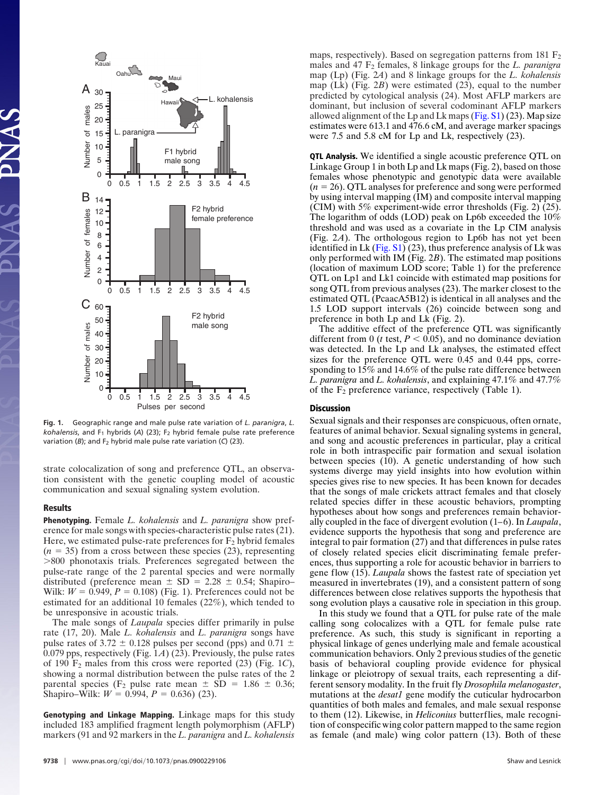

**Fig. 1.** Geographic range and male pulse rate variation of *L. paranigra*, *L.*  $kohalensis$ , and  $F_1$  hybrids (A) (23);  $F_2$  hybrid female pulse rate preference variation (B); and F<sub>2</sub> hybrid male pulse rate variation (C) (23).

strate colocalization of song and preference QTL, an observation consistent with the genetic coupling model of acoustic communication and sexual signaling system evolution.

## **Results**

**Phenotyping.** Female *L. kohalensis* and *L. paranigra* show preference for male songs with species-characteristic pulse rates (21). Here, we estimated pulse-rate preferences for  $F_2$  hybrid females  $(n = 35)$  from a cross between these species  $(23)$ , representing -800 phonotaxis trials. Preferences segregated between the pulse-rate range of the 2 parental species and were normally distributed (preference mean  $\pm$  SD = 2.28  $\pm$  0.54; Shapiro– Wilk:  $W = 0.949$ ,  $P = 0.108$ ) (Fig. 1). Preferences could not be estimated for an additional 10 females (22%), which tended to be unresponsive in acoustic trials.

The male songs of *Laupala* species differ primarily in pulse rate (17, 20). Male *L. kohalensis* and *L. paranigra* songs have pulse rates of 3.72  $\pm$  0.128 pulses per second (pps) and 0.71  $\pm$ 0.079 pps, respectively (Fig. 1*A*) (23). Previously, the pulse rates of 190 F2 males from this cross were reported (23) (Fig. 1*C*), showing a normal distribution between the pulse rates of the 2 parental species (F<sub>2</sub> pulse rate mean  $\pm$  SD = 1.86  $\pm$  0.36; Shapiro–Wilk:  $W = 0.994$ ,  $P = 0.636$ ) (23).

**Genotyping and Linkage Mapping.** Linkage maps for this study included 183 amplified fragment length polymorphism (AFLP) markers (91 and 92 markers in the *L. paranigra* and *L. kohalensis*

9738 | www.pnas.org/cgi/doi/10.1073/

maps, respectively). Based on segregation patterns from  $181 \text{ F}_2$ males and 47 F2 females, 8 linkage groups for the *L. paranigra* map (Lp) (Fig. 2*A*) and 8 linkage groups for the *L. kohalensis* map (Lk) (Fig. 2*B*) were estimated (23), equal to the number predicted by cytological analysis (24). Most AFLP markers are dominant, but inclusion of several codominant AFLP markers allowed alignment of the Lp and Lk maps [\(Fig. S1\)](http://www.pnas.org/cgi/data/0900229106/DCSupplemental/Supplemental_PDF#nameddest=SF1) (23). Map size estimates were 613.1 and 476.6 cM, and average marker spacings were 7.5 and 5.8 cM for Lp and Lk, respectively (23).

**QTL Analysis.** We identified a single acoustic preference QTL on Linkage Group 1 in both Lp and Lk maps (Fig. 2), based on those females whose phenotypic and genotypic data were available  $(n = 26)$ . QTL analyses for preference and song were performed by using interval mapping (IM) and composite interval mapping (CIM) with 5% experiment-wide error thresholds (Fig. 2) (25). The logarithm of odds (LOD) peak on Lp6b exceeded the 10% threshold and was used as a covariate in the Lp CIM analysis (Fig. 2*A*). The orthologous region to Lp6b has not yet been identified in Lk  $(Fig. S1)$  (23), thus preference analysis of Lk was only performed with IM (Fig. 2*B*). The estimated map positions (location of maximum LOD score; Table 1) for the preference QTL on Lp1 and Lk1 coincide with estimated map positions for song QTL from previous analyses (23). The marker closest to the estimated QTL (PcaacA5B12) is identical in all analyses and the 1.5 LOD support intervals (26) coincide between song and preference in both Lp and Lk (Fig. 2).

The additive effect of the preference QTL was significantly different from 0 ( $t$  test,  $P < 0.05$ ), and no dominance deviation was detected. In the Lp and Lk analyses, the estimated effect sizes for the preference QTL were 0.45 and 0.44 pps, corresponding to 15% and 14.6% of the pulse rate difference between *L. paranigra* and *L. kohalensis*, and explaining 47.1% and 47.7% of the  $F_2$  preference variance, respectively (Table 1).

### **Discussion**

Sexual signals and their responses are conspicuous, often ornate, features of animal behavior. Sexual signaling systems in general, and song and acoustic preferences in particular, play a critical role in both intraspecific pair formation and sexual isolation between species (10). A genetic understanding of how such systems diverge may yield insights into how evolution within species gives rise to new species. It has been known for decades that the songs of male crickets attract females and that closely related species differ in these acoustic behaviors, prompting hypotheses about how songs and preferences remain behaviorally coupled in the face of divergent evolution (1–6). In *Laupala*, evidence supports the hypothesis that song and preference are integral to pair formation (27) and that differences in pulse rates of closely related species elicit discriminating female preferences, thus supporting a role for acoustic behavior in barriers to gene flow (15). *Laupala* shows the fastest rate of speciation yet measured in invertebrates (19), and a consistent pattern of song differences between close relatives supports the hypothesis that song evolution plays a causative role in speciation in this group.

In this study we found that a QTL for pulse rate of the male calling song colocalizes with a QTL for female pulse rate preference. As such, this study is significant in reporting a physical linkage of genes underlying male and female acoustical communication behaviors. Only 2 previous studies of the genetic basis of behavioral coupling provide evidence for physical linkage or pleiotropy of sexual traits, each representing a different sensory modality. In the fruit fly *Drosophila melanogaster*, mutations at the *desat1* gene modify the cuticular hydrocarbon quantities of both males and females, and male sexual response to them (12). Likewise, in *Heliconius* butterflies, male recognition of conspecific wing color pattern mapped to the same region as female (and male) wing color pattern (13). Both of these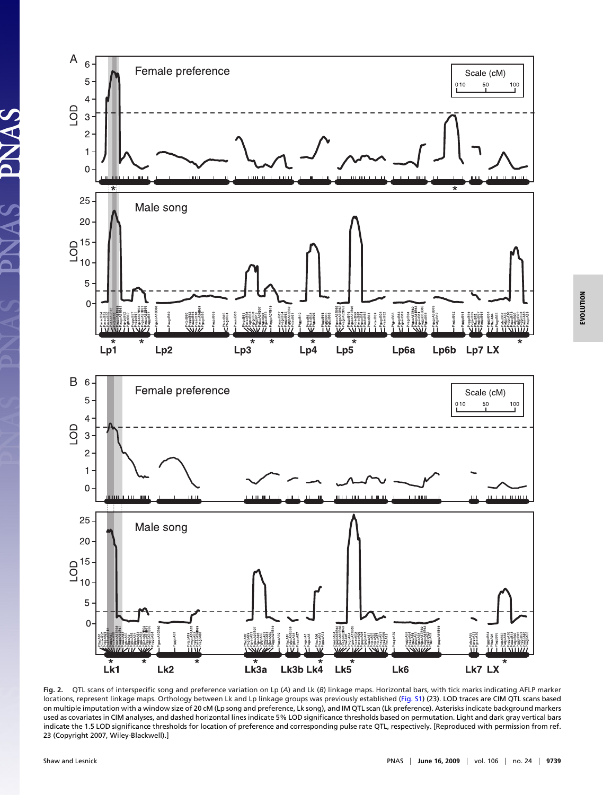

**Fig. 2.** QTL scans of interspecific song and preference variation on Lp (*A*) and Lk (*B*) linkage maps. Horizontal bars, with tick marks indicating AFLP marker locations, represent linkage maps. Orthology between Lk and Lp linkage groups was previously established [\(Fig. S1\)](http://www.pnas.org/cgi/data/0900229106/DCSupplemental/Supplemental_PDF#nameddest=SF1) (23). LOD traces are CIM QTL scans based on multiple imputation with a window size of 20 cM (Lp song and preference, Lk song), and IM QTL scan (Lk preference). Asterisks indicate background markers used as covariates in CIM analyses, and dashed horizontal lines indicate 5% LOD significance thresholds based on permutation. Light and dark gray vertical bars indicate the 1.5 LOD significance thresholds for location of preference and corresponding pulse rate QTL, respectively. [Reproduced with permission from ref. 23 (Copyright 2007, Wiley-Blackwell).]

**SANAS**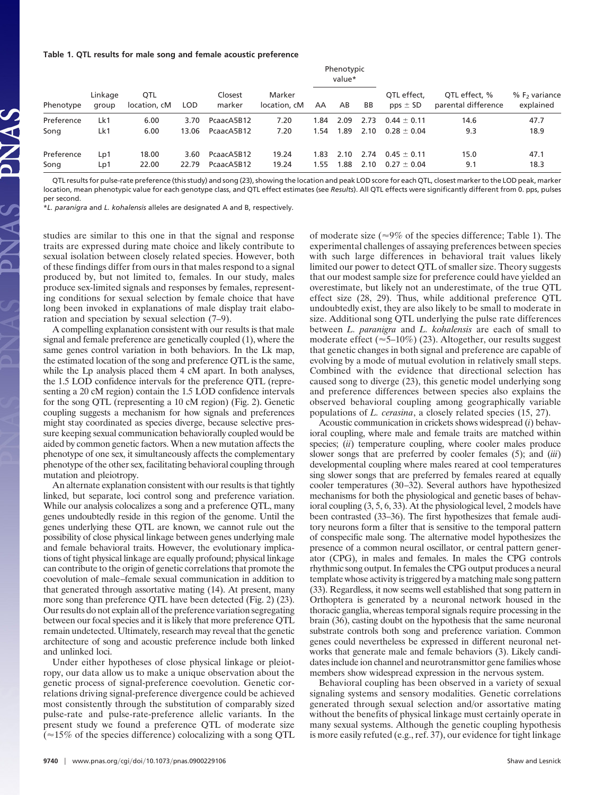#### **Table 1. QTL results for male song and female acoustic preference**

|            |                  |                            |            |                   |                        | Phenotypic<br>value* |      |      |                             |                                      |                              |
|------------|------------------|----------------------------|------------|-------------------|------------------------|----------------------|------|------|-----------------------------|--------------------------------------|------------------------------|
| Phenotype  | Linkage<br>group | <b>OTL</b><br>location, cM | <b>LOD</b> | Closest<br>marker | Marker<br>location, cM | AA                   | AB   | BB   | OTL effect.<br>$pps \pm SD$ | OTL effect. %<br>parental difference | $% F2$ variance<br>explained |
| Preference | Lk1              | 6.00                       | 3.70       | PcaacA5B12        | 7.20                   | 1.84                 | 2.09 | 2.73 | $0.44 + 0.11$               | 14.6                                 | 47.7                         |
| Song       | Lk1              | 6.00                       | 13.06      | PcaacA5B12        | 7.20                   | 1.54                 | 1.89 | 2.10 | $0.28 \pm 0.04$             | 9.3                                  | 18.9                         |
| Preference | Lp1              | 18.00                      | 3.60       | PcaacA5B12        | 19.24                  | 1.83                 | 2.10 | 2.74 | $0.45 + 0.11$               | 15.0                                 | 47.1                         |
| Song       | Lp1              | 22.00                      | 22.79      | PcaacA5B12        | 19.24                  | 1.55                 | 1.88 | 2.10 | $0.27 \pm 0.04$             | 9.1                                  | 18.3                         |

QTL results for pulse-rate preference (this study) and song (23), showing the location and peak LOD score for each QTL, closest marker to the LOD peak, marker location, mean phenotypic value for each genotype class, and QTL effect estimates (see *Results*). All QTL effects were significantly different from 0. pps, pulses per second.

\**L. paranigra* and *L. kohalensis* alleles are designated A and B, respectively.

studies are similar to this one in that the signal and response traits are expressed during mate choice and likely contribute to sexual isolation between closely related species. However, both of these findings differ from ours in that males respond to a signal produced by, but not limited to, females. In our study, males produce sex-limited signals and responses by females, representing conditions for sexual selection by female choice that have long been invoked in explanations of male display trait elaboration and speciation by sexual selection (7–9).

A compelling explanation consistent with our results is that male signal and female preference are genetically coupled (1), where the same genes control variation in both behaviors. In the Lk map, the estimated location of the song and preference QTL is the same, while the Lp analysis placed them 4 cM apart. In both analyses, the 1.5 LOD confidence intervals for the preference QTL (representing a 20 cM region) contain the 1.5 LOD confidence intervals for the song QTL (representing a 10 cM region) (Fig. 2). Genetic coupling suggests a mechanism for how signals and preferences might stay coordinated as species diverge, because selective pressure keeping sexual communication behaviorally coupled would be aided by common genetic factors. When a new mutation affects the phenotype of one sex, it simultaneously affects the complementary phenotype of the other sex, facilitating behavioral coupling through mutation and pleiotropy.

An alternate explanation consistent with our results is that tightly linked, but separate, loci control song and preference variation. While our analysis colocalizes a song and a preference QTL, many genes undoubtedly reside in this region of the genome. Until the genes underlying these QTL are known, we cannot rule out the possibility of close physical linkage between genes underlying male and female behavioral traits. However, the evolutionary implications of tight physical linkage are equally profound; physical linkage can contribute to the origin of genetic correlations that promote the coevolution of male–female sexual communication in addition to that generated through assortative mating (14). At present, many more song than preference QTL have been detected (Fig. 2) (23). Our results do not explain all of the preference variation segregating between our focal species and it is likely that more preference QTL remain undetected. Ultimately, research may reveal that the genetic architecture of song and acoustic preference include both linked and unlinked loci.

Under either hypotheses of close physical linkage or pleiotropy, our data allow us to make a unique observation about the genetic process of signal-preference coevolution. Genetic correlations driving signal-preference divergence could be achieved most consistently through the substitution of comparably sized pulse-rate and pulse-rate-preference allelic variants. In the present study we found a preference QTL of moderate size  $\approx 15\%$  of the species difference) colocalizing with a song QTL experimental challenges of assaying preferences between species with such large differences in behavioral trait values likely limited our power to detect QTL of smaller size. Theory suggests that our modest sample size for preference could have yielded an overestimate, but likely not an underestimate, of the true QTL effect size (28, 29). Thus, while additional preference QTL undoubtedly exist, they are also likely to be small to moderate in size. Additional song QTL underlying the pulse rate differences between *L. paranigra* and *L. kohalensis* are each of small to moderate effect ( $\approx$ 5–10%) (23). Altogether, our results suggest that genetic changes in both signal and preference are capable of evolving by a mode of mutual evolution in relatively small steps. Combined with the evidence that directional selection has caused song to diverge (23), this genetic model underlying song and preference differences between species also explains the observed behavioral coupling among geographically variable populations of *L. cerasina*, a closely related species (15, 27). Acoustic communication in crickets shows widespread (*i*) behav-

of moderate size ( $\approx 9\%$  of the species difference; Table 1). The

ioral coupling, where male and female traits are matched within species; *(ii)* temperature coupling, where cooler males produce slower songs that are preferred by cooler females (5); and (*iii*) developmental coupling where males reared at cool temperatures sing slower songs that are preferred by females reared at equally cooler temperatures (30–32). Several authors have hypothesized mechanisms for both the physiological and genetic bases of behavioral coupling (3, 5, 6, 33). At the physiological level, 2 models have been contrasted (33–36). The first hypothesizes that female auditory neurons form a filter that is sensitive to the temporal pattern of conspecific male song. The alternative model hypothesizes the presence of a common neural oscillator, or central pattern generator (CPG), in males and females. In males the CPG controls rhythmic song output. In females the CPG output produces a neural template whose activity is triggered by a matching male song pattern (33). Regardless, it now seems well established that song pattern in Orthoptera is generated by a neuronal network housed in the thoracic ganglia, whereas temporal signals require processing in the brain (36), casting doubt on the hypothesis that the same neuronal substrate controls both song and preference variation. Common genes could nevertheless be expressed in different neuronal networks that generate male and female behaviors (3). Likely candidates include ion channel and neurotransmittor gene families whose members show widespread expression in the nervous system.

Behavioral coupling has been observed in a variety of sexual signaling systems and sensory modalities. Genetic correlations generated through sexual selection and/or assortative mating without the benefits of physical linkage must certainly operate in many sexual systems. Although the genetic coupling hypothesis is more easily refuted (e.g., ref. 37), our evidence for tight linkage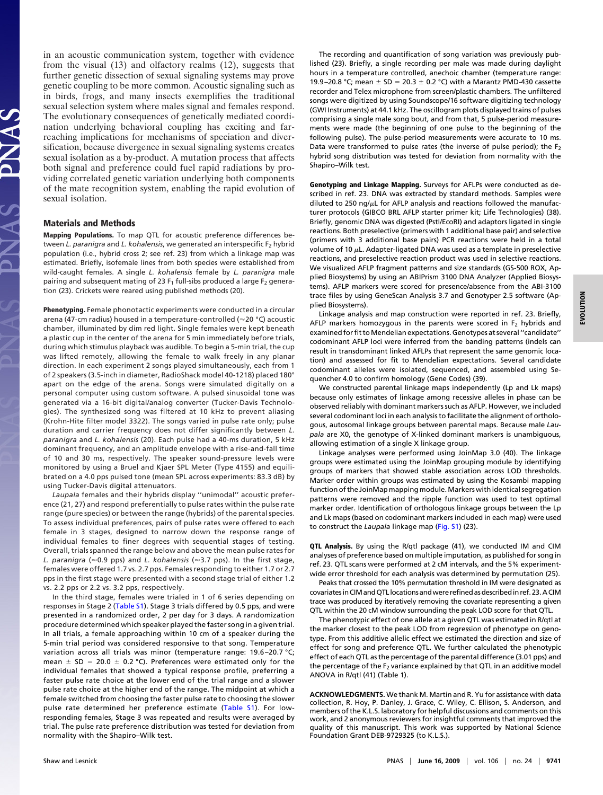in an acoustic communication system, together with evidence from the visual (13) and olfactory realms (12), suggests that further genetic dissection of sexual signaling systems may prove genetic coupling to be more common. Acoustic signaling such as in birds, frogs, and many insects exemplifies the traditional sexual selection system where males signal and females respond. The evolutionary consequences of genetically mediated coordination underlying behavioral coupling has exciting and farreaching implications for mechanisms of speciation and diversification, because divergence in sexual signaling systems creates sexual isolation as a by-product. A mutation process that affects both signal and preference could fuel rapid radiations by providing correlated genetic variation underlying both components of the mate recognition system, enabling the rapid evolution of sexual isolation.

## **Materials and Methods**

**Mapping Populations.** To map QTL for acoustic preference differences between *L. paranigra* and *L. kohalensis*, we generated an interspecific F2 hybrid population (i.e., hybrid cross 2; see ref. 23) from which a linkage map was estimated. Briefly, isofemale lines from both species were established from wild-caught females. A single *L. kohalensis* female by *L. paranigra* male pairing and subsequent mating of 23  $F_1$  full-sibs produced a large  $F_2$  generation (23). Crickets were reared using published methods (20).

**Phenotyping.** Female phonotactic experiments were conducted in a circular arena (47-cm radius) housed in a temperature-controlled (~20 °C) acoustic chamber, illuminated by dim red light. Single females were kept beneath a plastic cup in the center of the arena for 5 min immediately before trials, during which stimulus playback was audible. To begin a 5-min trial, the cup was lifted remotely, allowing the female to walk freely in any planar direction. In each experiment 2 songs played simultaneously, each from 1 of 2 speakers (3.5-inch in diameter, RadioShack model 40-1218) placed 180° apart on the edge of the arena. Songs were simulated digitally on a personal computer using custom software. A pulsed sinusoidal tone was generated via a 16-bit digital/analog converter (Tucker-Davis Technologies). The synthesized song was filtered at 10 kHz to prevent aliasing (Krohn-Hite filter model 3322). The songs varied in pulse rate only; pulse duration and carrier frequency does not differ significantly between *L. paranigra* and *L. kohalensis* (20). Each pulse had a 40-ms duration, 5 kHz dominant frequency, and an amplitude envelope with a rise-and-fall time of 10 and 30 ms, respectively. The speaker sound-pressure levels were monitored by using a Bruel and Kjaer SPL Meter (Type 4155) and equilibrated on a 4.0 pps pulsed tone (mean SPL across experiments: 83.3 dB) by using Tucker-Davis digital attenuators.

*Laupala* females and their hybrids display ''unimodal'' acoustic preference (21, 27) and respond preferentially to pulse rates within the pulse rate range (pure species) or between the range (hybrids) of the parental species. To assess individual preferences, pairs of pulse rates were offered to each female in 3 stages, designed to narrow down the response range of individual females to finer degrees with sequential stages of testing. Overall, trials spanned the range below and above the mean pulse rates for *L. paranigra* (≈0.9 pps) and *L. kohalensis* (≈3.7 pps). In the first stage, females were offered 1.7 vs. 2.7 pps. Females responding to either 1.7 or 2.7 pps in the first stage were presented with a second stage trial of either 1.2 vs. 2.2 pps or 2.2 vs. 3.2 pps, respectively.

In the third stage, females were trialed in 1 of 6 series depending on responses in Stage 2 [\(Table S1\)](http://www.pnas.org/cgi/data/0900229106/DCSupplemental/Supplemental_PDF#nameddest=ST1). Stage 3 trials differed by 0.5 pps, and were presented in a randomized order, 2 per day for 3 days. A randomization procedure determined which speaker played the faster song in a given trial. In all trials, a female approaching within 10 cm of a speaker during the 5-min trial period was considered responsive to that song. Temperature variation across all trials was minor (temperature range: 19.6-20.7 °C; mean  $\pm$  SD = 20.0  $\pm$  0.2 °C). Preferences were estimated only for the individual females that showed a typical response profile, preferring a faster pulse rate choice at the lower end of the trial range and a slower pulse rate choice at the higher end of the range. The midpoint at which a female switched from choosing the faster pulse rate to choosing the slower pulse rate determined her preference estimate [\(Table S1\)](http://www.pnas.org/cgi/data/0900229106/DCSupplemental/Supplemental_PDF#nameddest=ST1). For lowresponding females, Stage 3 was repeated and results were averaged by trial. The pulse rate preference distribution was tested for deviation from normality with the Shapiro–Wilk test.

The recording and quantification of song variation was previously published (23). Briefly, a single recording per male was made during daylight hours in a temperature controlled, anechoic chamber (temperature range: 19.9-20.8 °C; mean  $\pm$  SD = 20.3  $\pm$  0.2 °C) with a Marantz PMD-430 cassette recorder and Telex microphone from screen/plastic chambers. The unfiltered songs were digitized by using Soundscope/16 software digitizing technology (GWI Instruments) at 44.1 kHz. The oscillogram plots displayed trains of pulses comprising a single male song bout, and from that, 5 pulse-period measurements were made (the beginning of one pulse to the beginning of the following pulse). The pulse-period measurements were accurate to 10 ms. Data were transformed to pulse rates (the inverse of pulse period); the  $F_2$ hybrid song distribution was tested for deviation from normality with the Shapiro–Wilk test.

**Genotyping and Linkage Mapping.** Surveys for AFLPs were conducted as described in ref. 23. DNA was extracted by standard methods. Samples were diluted to 250 ng/ $\mu$ L for AFLP analysis and reactions followed the manufacturer protocols (GIBCO BRL AFLP starter primer kit; Life Technologies) (38). Briefly, genomic DNA was digested (PstI/EcoRI) and adaptors ligated in single reactions. Both preselective (primers with 1 additional base pair) and selective (primers with 3 additional base pairs) PCR reactions were held in a total volume of 10  $\mu$ L. Adapter-ligated DNA was used as a template in preselective reactions, and preselective reaction product was used in selective reactions. We visualized AFLP fragment patterns and size standards (GS-500 ROX, Applied Biosystems) by using an ABIPrism 3100 DNA Analyzer (Applied Biosystems). AFLP markers were scored for presence/absence from the ABI-3100 trace files by using GeneScan Analysis 3.7 and Genotyper 2.5 software (Applied Biosystems).

Linkage analysis and map construction were reported in ref. 23. Briefly, AFLP markers homozygous in the parents were scored in  $F<sub>2</sub>$  hybrids and examined for fit to Mendelian expectations. Genotypes at several "candidate" codominant AFLP loci were inferred from the banding patterns (indels can result in transdominant linked AFLPs that represent the same genomic location) and assessed for fit to Mendelian expectations. Several candidate codominant alleles were isolated, sequenced, and assembled using Sequencher 4.0 to confirm homology (Gene Codes) (39).

We constructed parental linkage maps independently (Lp and Lk maps) because only estimates of linkage among recessive alleles in phase can be observed reliably with dominant markers such as AFLP. However, we included several codominant loci in each analysis to facilitate the alignment of orthologous, autosomal linkage groups between parental maps. Because male *Laupala* are X0, the genotype of X-linked dominant markers is unambiguous, allowing estimation of a single X linkage group.

Linkage analyses were performed using JoinMap 3.0 (40). The linkage groups were estimated using the JoinMap grouping module by identifying groups of markers that showed stable association across LOD thresholds. Marker order within groups was estimated by using the Kosambi mapping function of the JoinMap mapping module. Markers with identical segregation patterns were removed and the ripple function was used to test optimal marker order. Identification of orthologous linkage groups between the Lp and Lk maps (based on codominant markers included in each map) were used to construct the *Laupala* linkage map [\(Fig. S1\)](http://www.pnas.org/cgi/data/0900229106/DCSupplemental/Supplemental_PDF#nameddest=SF1) (23).

**QTL Analysis.** By using the R/qtl package (41), we conducted IM and CIM analyses of preference based on multiple imputation, as published for song in ref. 23. QTL scans were performed at 2 cM intervals, and the 5% experimentwide error threshold for each analysis was determined by permutation (25).

Peaks that crossed the 10% permutation threshold in IM were designated as covariatesin CIM andQTLlocations andwere refined as describedin ref. 23. A CIM trace was produced by iteratively removing the covariate representing a given QTL within the 20 cM window surrounding the peak LOD score for that QTL.

The phenotypic effect of one allele at a given QTL was estimated in R/qtl at the marker closest to the peak LOD from regression of phenotype on genotype. From this additive allelic effect we estimated the direction and size of effect for song and preference QTL. We further calculated the phenotypic effect of each QTL as the percentage of the parental difference (3.01 pps) and the percentage of the  $F_2$  variance explained by that QTL in an additive model ANOVA in R/qtl (41) (Table 1).

**ACKNOWLEDGMENTS.** We thank M. Martin and R. Yu for assistance with data collection, R. Hoy, P. Danley, J. Grace, C. Wiley, C. Ellison, S. Anderson, and members of the K.L.S. laboratory for helpful discussions and comments on this work, and 2 anonymous reviewers for insightful comments that improved the quality of this manuscript. This work was supported by National Science Foundation Grant DEB-9729325 (to K.L.S.).